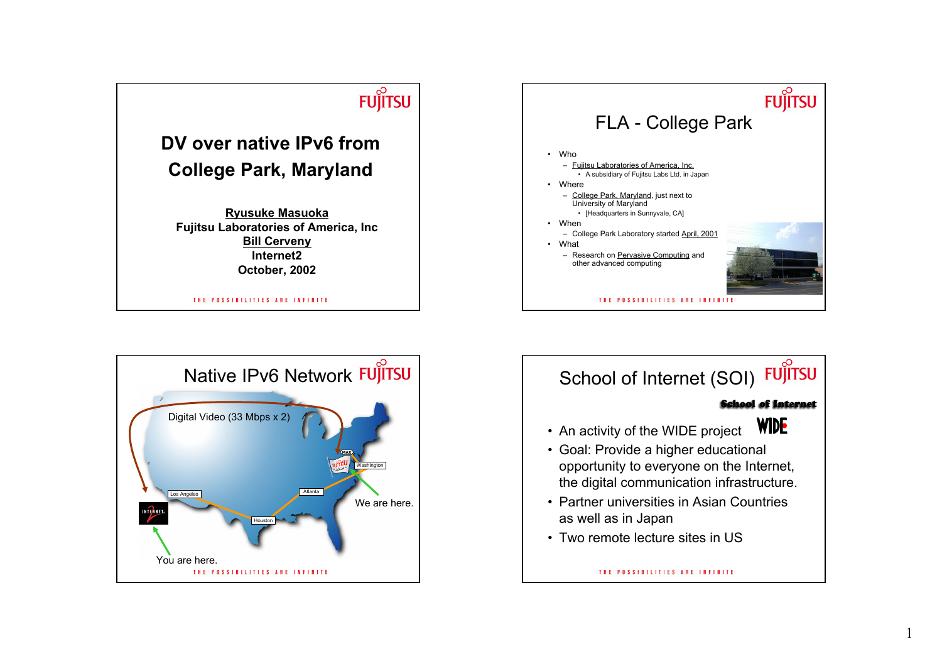